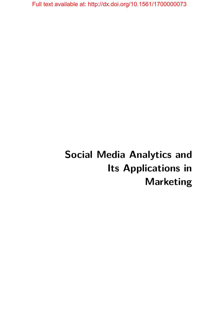# **Social Media Analytics and Its Applications in Marketing**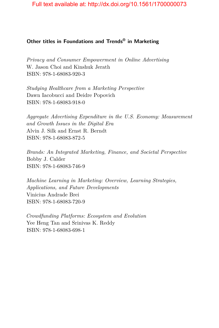#### **Other titles in Foundations and Trends® in Marketing**

*Privacy and Consumer Empowerment in Online Advertising* W. Jason Choi and Kinshuk Jerath ISBN: 978-1-68083-920-3

*Studying Healthcare from a Marketing Perspective* Dawn Iacobucci and Deidre Popovich ISBN: 978-1-68083-918-0

*Aggregate Advertising Expenditure in the U.S. Economy: Measurement and Growth Issues in the Digital Era* Alvin J. Silk and Ernst R. Berndt ISBN: 978-1-68083-872-5

*Brands: An Integrated Marketing, Finance, and Societal Perspective* Bobby J. Calder ISBN: 978-1-68083-746-9

*Machine Learning in Marketing: Overview, Learning Strategies, Applications, and Future Developments* Vinicius Andrade Brei ISBN: 978-1-68083-720-9

*Crowdfunding Platforms: Ecosystem and Evolution* Yee Heng Tan and Srinivas K. Reddy ISBN: 978-1-68083-698-1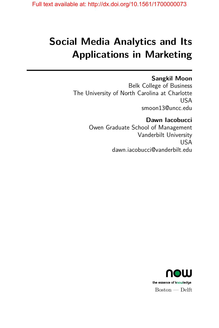# **Social Media Analytics and Its Applications in Marketing**

## **Sangkil Moon**

Belk College of Business The University of North Carolina at Charlotte USA smoon13@uncc.edu

> **Dawn Iacobucci** Owen Graduate School of Management Vanderbilt University USA dawn.iacobucci@vanderbilt.edu

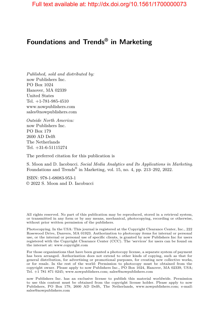## **Foundations and Trends® in Marketing**

*Published, sold and distributed by:* now Publishers Inc. PO Box 1024 Hanover, MA 02339 United States Tel. +1-781-985-4510 www.nowpublishers.com sales@nowpublishers.com

*Outside North America:* now Publishers Inc. PO Box 179 2600 AD Delft The Netherlands Tel. +31-6-51115274

The preferred citation for this publication is

S. Moon and D. Iacobucci. *Social Media Analytics and Its Applications in Marketing*. Foundations and Trends<sup>®</sup> in Marketing, vol. 15, no. 4, pp. 213–292, 2022.

ISBN: 978-1-68083-953-1 © 2022 S. Moon and D. Iacobucci

All rights reserved. No part of this publication may be reproduced, stored in a retrieval system, or transmitted in any form or by any means, mechanical, photocopying, recording or otherwise, without prior written permission of the publishers.

Photocopying. In the USA: This journal is registered at the Copyright Clearance Center, Inc., 222 Rosewood Drive, Danvers, MA 01923. Authorization to photocopy items for internal or personal use, or the internal or personal use of specific clients, is granted by now Publishers Inc for users registered with the Copyright Clearance Center (CCC). The 'services' for users can be found on the internet at: www.copyright.com

For those organizations that have been granted a photocopy license, a separate system of payment has been arranged. Authorization does not extend to other kinds of copying, such as that for general distribution, for advertising or promotional purposes, for creating new collective works, or for resale. In the rest of the world: Permission to photocopy must be obtained from the copyright owner. Please apply to now Publishers Inc., PO Box 1024, Hanover, MA 02339, USA; Tel. +1 781 871 0245; www.nowpublishers.com; sales@nowpublishers.com

now Publishers Inc. has an exclusive license to publish this material worldwide. Permission to use this content must be obtained from the copyright license holder. Please apply to now Publishers, PO Box 179, 2600 AD Delft, The Netherlands, www.nowpublishers.com; e-mail: sales@nowpublishers.com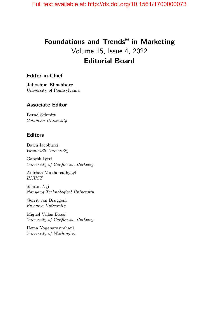## **Foundations and Trends® in Marketing** Volume 15, Issue 4, 2022 **Editorial Board**

#### **Editor-in-Chief**

**Jehoshua Eliashberg** University of Pennsylvania

#### **Associate Editor**

Bernd Schmitt *Columbia University*

#### **Editors**

Dawn Iacobucci *Vanderbilt University*

Ganesh Iyeri *University of California, Berkeley*

Anirban Mukhopadhyayi *HKUST*

Sharon Ngi *Nanyang Technological University*

Gerrit van Bruggeni *Erasmus University*

Miguel Villas Boasi *University of California, Berkeley*

Hema Yoganarasimhani *University of Washington*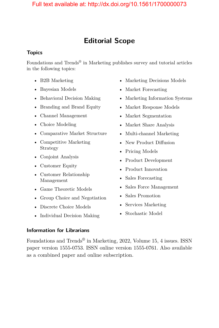## **Editorial Scope**

#### **Topics**

Foundations and Trends<sup>®</sup> in Marketing publishes survey and tutorial articles in the following topics:

- B2B Marketing
- Bayesian Models
- Behavioral Decision Making
- Branding and Brand Equity
- Channel Management
- Choice Modeling
- Comparative Market Structure
- Competitive Marketing Strategy
- Conjoint Analysis
- Customer Equity
- Customer Relationship Management
- Game Theoretic Models
- Group Choice and Negotiation
- Discrete Choice Models
- Individual Decision Making
- Marketing Decisions Models
- Market Forecasting
- Marketing Information Systems
- Market Response Models
- Market Segmentation
- Market Share Analysis
- Multi-channel Marketing
- New Product Diffusion
- Pricing Models
- Product Development
- Product Innovation
- Sales Forecasting
- Sales Force Management
- Sales Promotion
- Services Marketing
- Stochastic Model

#### **Information for Librarians**

Foundations and Trends® in Marketing, 2022, Volume 15, 4 issues. ISSN paper version 1555-0753. ISSN online version 1555-0761. Also available as a combined paper and online subscription.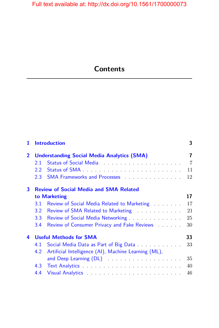# **Contents**

| 1              | <b>Introduction</b>                               |                                                                                                                                                                                                                               |                |  |  |
|----------------|---------------------------------------------------|-------------------------------------------------------------------------------------------------------------------------------------------------------------------------------------------------------------------------------|----------------|--|--|
| $\overline{2}$ | <b>Understanding Social Media Analytics (SMA)</b> |                                                                                                                                                                                                                               | $\overline{7}$ |  |  |
|                | 2.1                                               | Status of Social Media Alberta Alberta Alberta Alberta Alberta Alberta Alberta Alberta Alberta Alberta Alberta                                                                                                                | $\overline{7}$ |  |  |
|                | $2.2^{\circ}$                                     |                                                                                                                                                                                                                               | 11             |  |  |
|                | $2.3 -$                                           |                                                                                                                                                                                                                               | 12             |  |  |
| 3              | <b>Review of Social Media and SMA Related</b>     |                                                                                                                                                                                                                               |                |  |  |
|                |                                                   | to Marketing                                                                                                                                                                                                                  | 17             |  |  |
|                | 3.1                                               | Review of Social Media Related to Marketing                                                                                                                                                                                   | 17             |  |  |
|                | 3.2                                               | Review of SMA Related to Marketing <b>Exercise 2.1 Array Property</b>                                                                                                                                                         | 21             |  |  |
|                | 3.3                                               | Review of Social Media Networking                                                                                                                                                                                             | 25             |  |  |
|                | 3.4                                               | Review of Consumer Privacy and Fake Reviews                                                                                                                                                                                   | 30             |  |  |
| 4              | <b>Useful Methods for SMA</b>                     |                                                                                                                                                                                                                               | 33             |  |  |
|                | 4.1                                               | Social Media Data as Part of Big Data                                                                                                                                                                                         | 33             |  |  |
|                | 4.2                                               | Artificial Intelligence (AI), Machine Learning (ML),                                                                                                                                                                          |                |  |  |
|                |                                                   | and Deep Learning (DL) and the state of the state of the state of the state of the state of the state of the state of the state of the state of the state of the state of the state of the state of the state of the state of | 35             |  |  |
|                | 4.3                                               |                                                                                                                                                                                                                               | 40             |  |  |
|                | 4.4                                               | Visual Analytics Manual Analytics Analytics Analytics Analytics Analytics Analytics Analytics Analytics Analytics                                                                                                             | 46             |  |  |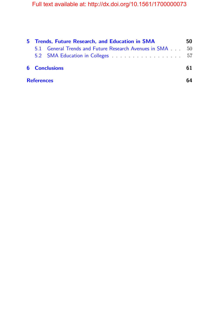| 5 Trends, Future Research, and Education in SMA |                                                          |    |
|-------------------------------------------------|----------------------------------------------------------|----|
|                                                 | 5.1 General Trends and Future Research Avenues in SMA 50 |    |
|                                                 |                                                          |    |
| <b>6</b> Conclusions                            |                                                          | 61 |
| <b>References</b>                               |                                                          |    |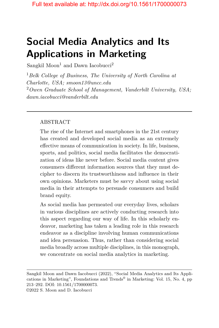# **Social Media Analytics and Its Applications in Marketing**

Sangkil Moon<sup>1</sup> and Dawn Iacobucci<sup>2</sup>

<sup>1</sup>*Belk College of Business, The University of North Carolina at Charlotte, USA; smoon13@uncc.edu* <sup>2</sup>*Owen Graduate School of Management, Vanderbilt University, USA; dawn.iacobucci@vanderbilt.edu*

#### ABSTRACT

The rise of the Internet and smartphones in the 21st century has created and developed social media as an extremely effective means of communication in society. In life, business, sports, and politics, social media facilitates the democratization of ideas like never before. Social media content gives consumers different information sources that they must decipher to discern its trustworthiness and influence in their own opinions. Marketers must be savvy about using social media in their attempts to persuade consumers and build brand equity.

As social media has permeated our everyday lives, scholars in various disciplines are actively conducting research into this aspect regarding our way of life. In this scholarly endeavor, marketing has taken a leading role in this research endeavor as a discipline involving human communications and idea persuasion. Thus, rather than considering social media broadly across multiple disciplines, in this monograph, we concentrate on social media analytics in marketing.

Sangkil Moon and Dawn Iacobucci (2022), "Social Media Analytics and Its Applications in Marketing", Foundations and Trends® in Marketing: Vol. 15, No. 4, pp 213–292. DOI: 10.1561/1700000073. ©2022 S. Moon and D. Iacobucci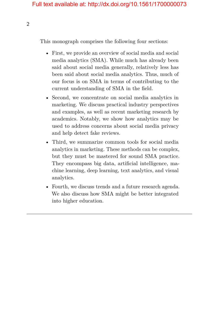This monograph comprises the following four sections:

- First, we provide an overview of social media and social media analytics (SMA). While much has already been said about social media generally, relatively less has been said about social media analytics. Thus, much of our focus is on SMA in terms of contributing to the current understanding of SMA in the field.
- Second, we concentrate on social media analytics in marketing. We discuss practical industry perspectives and examples, as well as recent marketing research by academics. Notably, we show how analytics may be used to address concerns about social media privacy and help detect fake reviews.
- Third, we summarize common tools for social media analytics in marketing. These methods can be complex, but they must be mastered for sound SMA practice. They encompass big data, artificial intelligence, machine learning, deep learning, text analytics, and visual analytics.
- Fourth, we discuss trends and a future research agenda. We also discuss how SMA might be better integrated into higher education.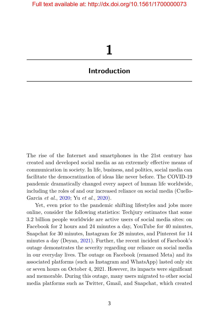# **1**

### <span id="page-10-0"></span>**Introduction**

The rise of the Internet and smartphones in the 21st century has created and developed social media as an extremely effective means of communication in society. In life, business, and politics, social media can facilitate the democratization of ideas like never before. The COVID-19 pandemic dramatically changed every aspect of human life worldwide, including the roles of and our increased reliance on social media (Cuello-Garcia *et al.*, [2020;](#page-17-0) Yu *et al.*, [2020\)](#page-29-0).

Yet, even prior to the pandemic shifting lifestyles and jobs more online, consider the following statistics: Techjury estimates that some 3.2 billion people worldwide are active users of social media sites: on Facebook for 2 hours and 24 minutes a day, YouTube for 40 minutes, Snapchat for 30 minutes, Instagram for 28 minutes, and Pinterest for 14 minutes a day (Deyan, [2021\)](#page-18-0). Further, the recent incident of Facebook's outage demonstrates the severity regarding our reliance on social media in our everyday lives. The outage on Facebook (renamed Meta) and its associated platforms (such as Instagram and WhatsApp) lasted only six or seven hours on October 4, 2021. However, its impacts were significant and memorable. During this outage, many users migrated to other social media platforms such as Twitter, Gmail, and Snapchat, which created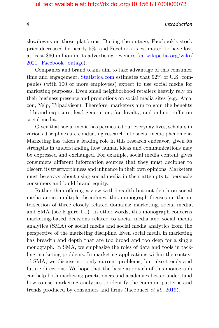4 Introduction

slowdowns on those platforms. During the outage, Facebook's stock price decreased by nearly 5%, and Facebook is estimated to have lost at least \$60 million in its advertising revenues [\(en.wikipedia.org/wiki/](en.wikipedia.org/wiki/2021_Facebook_outage) [2021\\_Facebook\\_outage\)](en.wikipedia.org/wiki/2021_Facebook_outage).

Companies and brand teams aim to take advantage of this consumer time and engagement. [Statistica.com](http://Statistica.com) estimates that 92% of U.S. companies (with 100 or more employees) expect to use social media for marketing purposes. Even small neighborhood retailers heavily rely on their business presence and promotions on social media sites (e.g., Amazon, Yelp, Tripadvisor). Therefore, marketers aim to gain the benefits of brand exposure, lead generation, fan loyalty, and online traffic on social media.

Given that social media has permeated our everyday lives, scholars in various disciplines are conducting research into social media phenomena. Marketing has taken a leading role in this research endeavor, given its strengths in understanding how human ideas and communications may be expressed and exchanged. For example, social media content gives consumers different information sources that they must decipher to discern its trustworthiness and influence in their own opinions. Marketers must be savvy about using social media in their attempts to persuade consumers and build brand equity.

Rather than offering a view with breadth but not depth on social media across multiple disciplines, this monograph focuses on the intersection of three closely related domains: marketing, social media, and SMA (see Figure [1.1\)](#page-12-0). In other words, this monograph concerns marketing-based decisions related to social media and social media analytics (SMA) or social media and social media analytics from the perspective of the marketing discipline. Even social media in marketing has breadth and depth that are too broad and too deep for a single monograph. In SMA, we emphasize the roles of data and tools in tackling marketing problems. In marketing applications within the context of SMA, we discuss not only current problems, but also trends and future directions. We hope that the basic approach of this monograph can help both marketing practitioners and academics better understand how to use marketing analytics to identify the common patterns and trends produced by consumers and firms (Iacobucci *et al.*, [2019\)](#page-21-0).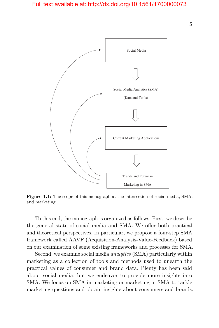<span id="page-12-0"></span>

**Figure 1.1:** The scope of this monograph at the intersection of social media, SMA, and marketing.

To this end, the monograph is organized as follows. First, we describe the general state of social media and SMA. We offer both practical and theoretical perspectives. In particular, we propose a four-step SMA framework called AAVF (Acquisition-Analysis-Value-Feedback) based on our examination of some existing frameworks and processes for SMA.

Second, we examine social media *analytics* (SMA) particularly within marketing as a collection of tools and methods used to unearth the practical values of consumer and brand data. Plenty has been said about social media, but we endeavor to provide more insights into SMA. We focus on SMA in marketing or marketing in SMA to tackle marketing questions and obtain insights about consumers and brands.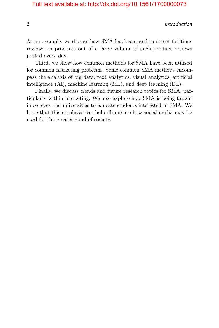6 Introduction

As an example, we discuss how SMA has been used to detect fictitious reviews on products out of a large volume of such product reviews posted every day.

Third, we show how common methods for SMA have been utilized for common marketing problems. Some common SMA methods encompass the analysis of big data, text analytics, visual analytics, artificial intelligence (AI), machine learning (ML), and deep learning (DL).

Finally, we discuss trends and future research topics for SMA, particularly within marketing. We also explore how SMA is being taught in colleges and universities to educate students interested in SMA. We hope that this emphasis can help illuminate how social media may be used for the greater good of society.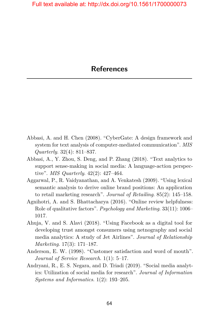- <span id="page-14-0"></span>Abbasi, A. and H. Chen (2008). "CyberGate: A design framework and system for text analysis of computer-mediated communication". *MIS Quarterly*. 32(4): 811–837.
- Abbasi, A., Y. Zhou, S. Deng, and P. Zhang (2018). "Text analytics to support sense-making in social media: A language-action perspective". *MIS Quarterly*. 42(2): 427–464.
- Aggarwal, P., R. Vaidyanathan, and A. Venkatesh (2009). "Using lexical semantic analysis to derive online brand positions: An application to retail marketing research". *Journal of Retailing*. 85(2): 145–158.
- Agnihotri, A. and S. Bhattacharya (2016). "Online review helpfulness: Role of qualitative factors". *Psychology and Marketing*. 33(11): 1006– 1017.
- Ahuja, V. and S. Alavi (2018). "Using Facebook as a digital tool for developing trust amongst consumers using netnography and social media analytics: A study of Jet Airlines". *Journal of Relationship Marketing*. 17(3): 171–187.
- Anderson, E. W. (1998). "Customer satisfaction and word of mouth". *Journal of Service Research*. 1(1): 5–17.
- Andryani, R., E. S. Negara, and D. Triadi (2019). "Social media analytics: Utilization of social media for research". *Journal of Information Systems and Informatics*. 1(2): 193–205.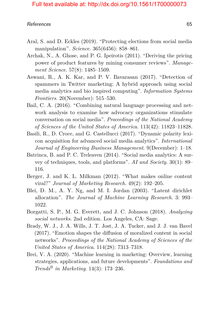- Aral, S. and D. Eckles (2019). "Protecting elections from social media manipulation". *Science*. 365(6456): 858–861.
- Archak, N., A. Ghose, and P. G. Ipeirotis (2011). "Deriving the pricing power of product features by mining consumer reviews". *Management Science*. 57(8): 1485–1509.
- Aswani, R., A. K. Kar, and P. V. Ilavarasan (2017). "Detection of spammers in Twitter marketing: A hybrid approach using social media analytics and bio inspired computing". *Information Systems Frontiers*. 20(November): 515–530.
- Bail, C. A. (2016). "Combining natural language processing and network analysis to examine how advocacy organizations stimulate conversation on social media". *Proceedings of the National Academy of Sciences of the United States of America*. 113(42): 11823–11828.
- Basili, R., D. Croce, and G. Castellucci (2017). "Dynamic polarity lexicon acquisition for advanced social media analytics". *International Journal of Engineering Business Management*. 9(December): 1–18.
- Batrinca, B. and P. C. Treleaven (2014). "Social media analytics: A survey of techniques, tools, and platforms". *AI and Society*. 30(1): 89– 116.
- Berger, J. and K. L. Milkman (2012). "What makes online content viral?" *Journal of Marketing Research*. 49(2): 192–205.
- Blei, D. M., A. Y. Ng, and M. I. Jordan (2003). "Latent dirichlet allocation". *The Journal of Machine Learning Research*. 3: 993– 1022.
- Borgatti, S. P., M. G. Everett, and J. C. Johnson (2018). *Analyzing social networks*. 2nd edition. Los Angeles, CA: Sage.
- Brady, W. J., J. A. Wills, J. T. Jost, J. A. Tucker, and J. J. van Bavel (2017). "Emotion shapes the diffusion of moralized content in social networks". *Proceedings of the National Academy of Sciences of the United States of America*. 114(28): 7313–7318.
- Brei, V. A. (2020). "Machine learning in marketing: Overview, learning strategies, applications, and future developments". *Foundations and Trends® in Marketing*. 14(3): 173–236.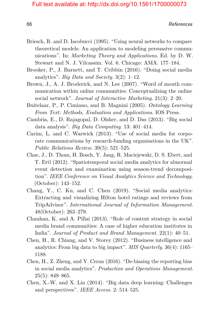- Briesch, R. and D. Iacobucci (1995). "Using neural networks to compare theoretical models: An application to modeling persuasive communications". In: *Marketing Theory and Applications*. Ed. by D. W. Stewart and N. J. Vilcassim. Vol. 6. Chicago: AMA. 177–184.
- Brooker, P., J. Barnett, and T. Cribbin (2016). "Doing social media analytics". *Big Data and Society*. 3(2): 1–12.
- Brown, J., A. J. Broderick, and N. Lee (2007). "Word of mouth communication within online communities: Conceptualizing the online social network". *Journal of Interactive Marketing*. 21(3): 2–20.
- Buitelaar, P., P. Cimiano, and B. Magnini (2005). *Ontology Learning From Text: Methods, Evaluation and Applications*. IOS Press.
- Cambria, E., D. Rajagopal, D. Olsher, and D. Das (2013). "Big social data analysis". *Big Data Computing*. 13: 401–414.
- Carim, L. and C. Warwick (2013). "Use of social media for corporate communications by research-funding organisations in the UK". *Public Relations Review*. 39(5): 521–525.
- Chae, J., D. Thom, H. Bosch, Y. Jang, R. Maciejewski, D. S. Ebert, and T. Ertl (2012). "Spatiotemporal social media analytics for abnormal event detection and examination using season-trend decomposition". *IEEE Conference on Visual Analytics Science and Technology.* (October): 143–152.
- Chang, Y., C. Ku, and C. Chen (2019). "Social media analytics: Extracting and visualizing Hilton hotel ratings and reviews from TripAdvisor". *International Journal of Information Management*. 48(October): 263–279.
- Chauhan, K. and A. Pillai (2013). "Role of content strategy in social media brand communities: A case of higher education institutes in India". *Journal of Product and Brand Management*. 22(1): 40–51.
- Chen, H., R. Chiang, and V. Storey (2012). "Business intelligence and analytics: From big data to big impact". *MIS Quarterly*. 36(4): 1165– 1188.
- Chen, H., Z. Zheng, and Y. Ceran (2016). "De-biasing the reporting bias in social media analytics". *Production and Operations Management*. 25(5): 849–865.
- Chen, X.-W. and X. Lin (2014). "Big data deep learning: Challenges and perspectives". *IEEE Access*. 2: 514–525.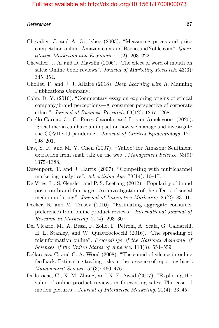- Chevalier, J. and A. Goolsbee (2003). "Measuring prices and price competition online: Amazon.com and BarnesandNoble.com". *Quantitative Marketing and Economics*. 1(2): 203–222.
- Chevalier, J. A. and D. Mayzlin (2006). "The effect of word of mouth on sales: Online book reviews". *Journal of Marketing Research*. 43(3): 345–354.
- Chollet, F. and J. J. Allaire (2018). *Deep Learning with R*. Manning Publications Company.
- Cohn, D. Y. (2010). "Commentary essay on exploring origins of ethical company/brand perceptions—A consumer perspective of corporate ethics". *Journal of Business Research*. 63(12): 1267–1268.
- <span id="page-17-0"></span>Cuello-Garcia, C., G. Pérez-Gaxiola, and L. van Amelsvoort (2020). "Social media can have an impact on how we manage and investigate the COVID-19 pandemic". *Journal of Clinical Epidemiology*. 127: 198–201.
- Das, S. R. and M. Y. Chen (2007). "Yahoo! for Amazon: Sentiment extraction from small talk on the web". *Management Science*. 53(9): 1375–1388.
- Davenport, T. and J. Harris (2007). "Competing with multichannel marketing analytics". *Advertising Age*. 78(14): 16–17.
- De Vries, L., S. Gensler, and P. S. Leeflang (2012). "Popularity of brand posts on brand fan pages: An investigation of the effects of social media marketing". *Journal of Interactive Marketing*. 26(2): 83–91.
- Decker, R. and M. Trusov (2010). "Estimating aggregate consumer preferences from online product reviews". *International Journal of Research in Marketing*. 27(4): 293–307.
- Del Vicario, M., A. Bessi, F. Zollo, F. Petroni, A. Scala, G. Caldarelli, H. E. Stanley, and W. Quattrociocchi (2016). "The spreading of misinformation online". *Proceedings of the National Academy of Sciences of the United States of America*. 113(3): 554–559.
- Dellarocas, C. and C. A. Wood (2008). "The sound of silence in online feedback: Estimating trading risks in the presence of reporting bias". *Management Science*. 54(3): 460–476.
- Dellarocas, C., X. M. Zhang, and N. F. Awad (2007). "Exploring the value of online product reviews in forecasting sales: The case of motion pictures". *Journal of Interactive Marketing*. 21(4): 23–45.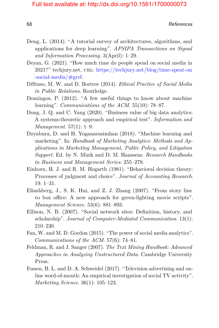- Deng, L. (2014). "A tutorial survey of architectures, algorithms, and applications for deep learning". *APSIPA Transactions on Signal and Information Processing*. 3(April): 1–29.
- <span id="page-18-0"></span>Deyan, G. (2021). "How much time do people spend on social media in 2021?" techjury.net, url: [https://techjury.net/blog/time-spent-on](https://techjury.net/blog/time-spent-on-social-media/#gref) [-social-media/#gref.](https://techjury.net/blog/time-spent-on-social-media/#gref)
- DiStaso, M. W. and D. Bortree (2014). *Ethical Practice of Social Media in Public Relations*. Routledge.
- Domingos, P. (2012). "A few useful things to know about machine learning". *Communications of the ACM*. 55(10): 78–87.
- Dong, J. Q. and C. Yang (2020). "Business value of big data analytics: A systems-theoretic approach and empirical test". *Information and Management*. 57(1): 1–9.
- Dzyabura, D. and H. Yoganarasimhan (2018). "Machine learning and marketing". In: *Handbook of Marketing Analytics: Methods and Applications in Marketing Management, Public Policy, and Litigation Support*. Ed. by N. Mizik and D. M. Hanssens. *Research Handbooks in Business and Management Series*. 255–279.
- Einhorn, H. J. and R. M. Hogarth (1981). "Behavioral decision theory: Processes of judgment and choice". *Journal of Accounting Research*. 19: 1–31.
- Eliashberg, J., S. K. Hui, and Z. J. Zhang (2007). "From story line to box office: A new approach for green-lighting movie scripts". *Management Science*. 53(6): 881–893.
- Ellison, N. B. (2007). "Social network sites: Definition, history, and scholarship". *Journal of Computer-Mediated Communication*. 13(1): 210–230.
- Fan, W. and M. D. Gordon (2015). "The power of social media analytics". *Communications of the ACM*. 57(6): 74–81.
- Feldman, R. and J. Sanger (2007). *The Text Mining Handbook: Advanced Approaches in Analyzing Unstructured Data*. Cambridge University Press.
- Fossen, B. L. and D. A. Schweidel (2017). "Television advertising and online word-of-mouth: An empirical investigation of social TV activity". *Marketing Science*. 36(1): 105–123.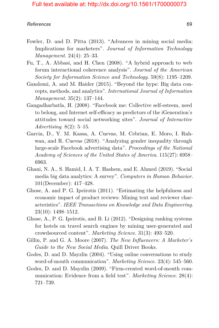- Fowler, D. and D. Pitta (2013). "Advances in mining social media: Implications for marketers". *Journal of Information Technology Management*. 24(4): 25–33.
- Fu, T., A. Abbasi, and H. Chen (2008). "A hybrid approach to web forum interactional coherence analysis". *Journal of the American Society for Information Science and Technology*. 59(8): 1195–1209.
- Gandomi, A. and M. Haider (2015). "Beyond the hype: Big data concepts, methods, and analytics". *International Journal of Information Management*. 35(2): 137–144.
- Gangadharbatla, H. (2008). "Facebook me: Collective self-esteem, need to belong, and Internet self-efficacy as predictors of the iGeneration's attitudes toward social networking sites". *Journal of Interactive Advertising*. 8(2): 5–15.
- Garcia, D., Y. M. Kassa, A. Cuevas, M. Cebrian, E. Moro, I. Rahwan, and R. Cuevas (2018). "Analyzing gender inequality through large-scale Facebook advertising data". *Proceedings of the National Academy of Sciences of the United States of America*. 115(27): 6958– 6963.
- Ghani, N. A., S. Hamid, I. A. T. Hashem, and E. Ahmed (2019). "Social media big data analytics: A survey". *Computers in Human Behavior*. 101(December): 417–428.
- Ghose, A. and P. G. Ipeirotis (2011). "Estimating the helpfulness and economic impact of product reviews: Mining text and reviewer characteristics". *IEEE Transactions on Knowledge and Data Engineering*. 23(10): 1498–1512.
- Ghose, A., P. G. Ipeirotis, and B. Li (2012). "Designing ranking systems for hotels on travel search engines by mining user-generated and crowdsourced content". *Marketing Science*. 31(3): 493–520.
- Gillin, P. and G. A. Moore (2007). *The New Influencers: A Marketer's Guide to the New Social Media*. Quill Driver Books.
- Godes, D. and D. Mayzlin (2004). "Using online conversations to study word-of-mouth communication". *Marketing Science*. 23(4): 545–560.
- Godes, D. and D. Mayzlin (2009). "Firm-created word-of-mouth communication: Evidence from a field test". *Marketing Science*. 28(4): 721–739.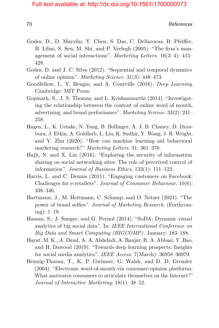- Godes, D., D. Mayzlin, Y. Chen, S. Das, C. Dellarocas, B. Pfeiffer, B. Libai, S. Sen, M. Shi, and P. Verlegh (2005). "The firm's management of social interactions". *Marketing Letters*. 16(3–4): 415– 428.
- Godes, D. and J. C. Silva (2012). "Sequential and temporal dynamics of online opinion". *Marketing Science*. 31(3): 448–473.
- Goodfellow, I., Y. Bengio, and A. Courville (2016). *Deep Learning*. Cambridge: MIT Press.
- Gopinath, S., J. S. Thomas, and L. Krishnamurthi (2014). "Investigating the relationship between the content of online word of mouth, advertising, and brand performance". *Marketing Science*. 33(2): 241– 258.
- Hagen, L., K. Uetake, N. Yang, B. Bollinger, A. J. B. Chaney, D. Dzyabura, J. Etkin, A. Goldfarb, L. Liu, K. Sudhir, Y. Wang, J. R. Wright, and Y. Zhu (2020). "How can machine learning aid behavioral marketing research?" *Marketing Letters*. 31: 361–370.
- Hajli, N. and X. Lin (2016). "Exploring the security of information sharing on social networking sites: The role of perceived control of information". *Journal of Business Ethics*. 133(1): 111–123.
- Harris, L. and C. Dennis (2011). "Engaging customers on Facebook: Challenges for e-retailers". *Journal of Consumer Behaviour*. 10(6): 338–346.
- Hartmann, J., M. Heitmann, C. Schamp, and O. Netzer (2021). "The power of brand selfies". *Journal of Marketing Research*. (Forthcoming): 1–19.
- Hassan, S., J. Sanger, and G. Pernul (2014). "SoDA: Dynamic visual analytics of big social data". In: *IEEE International Conference on Big Data and Smart Computing (BIGCOMP).* January. 183–188.
- Hayat, M. K., A. Daud, A. A. Alshdadi, A. Banjar, R. A. Abbasi, Y. Bao, and H. Dawood (2019). "Towards deep learning prospects: Insights for social media analytics". *IEEE Access*. 7(March): 36958–36979.
- Hennig-Thurau, T., K. P. Gwinner, G. Walsh, and D. D. Gremler (2004). "Electronic word-of-mouth via consumer-opinion platforms: What motivates consumers to articulate themselves on the Internet?" *Journal of Interactive Marketing*. 18(1): 38–52.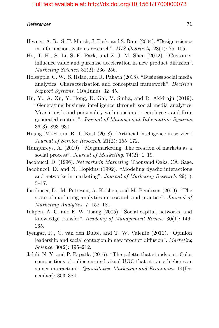- Hevner, A. R., S. T. March, J. Park, and S. Ram (2004). "Design science in information systems research". *MIS Quarterly*. 28(1): 75–105.
- Ho, T.-H., S. Li, S.-E. Park, and Z.-J. M. Shen (2012). "Customer influence value and purchase acceleration in new product diffusion". *Marketing Science*. 31(2): 236–256.
- Holsapple, C. W., S. Hsiao, and R. Pakath (2018). "Business social media analytics: Characterization and conceptual framework". *Decision Support Systems*. 110(June): 32–45.
- Hu, Y., A. Xu, Y. Hong, D. Gal, V. Sinha, and R. Akkiraju (2019). "Generating business intelligence through social media analytics: Measuring brand personality with consumer-, employee-, and firmgenerated content". *Journal of Management Information Systems*. 36(3): 893–930.
- Huang, M.-H. and R. T. Rust (2018). "Artificial intelligence in service". *Journal of Service Research*. 21(2): 155–172.
- Humphreys, A. (2010). "Megamarketing: The creation of markets as a social process". *Journal of Marketing*. 74(2): 1–19.
- Iacobucci, D. (1996). *Networks in Marketing*. Thousand Oaks, CA: Sage.
- Iacobucci, D. and N. Hopkins (1992). "Modeling dyadic interactions and networks in marketing". *Journal of Marketing Research*. 29(1): 5–17.
- <span id="page-21-0"></span>Iacobucci, D., M. Petrescu, A. Krishen, and M. Bendixen (2019). "The state of marketing analytics in research and practice". *Journal of Marketing Analytics*. 7: 152–181.
- Inkpen, A. C. and E. W. Tsang (2005). "Social capital, networks, and knowledge transfer". *Academy of Management Review*. 30(1): 146– 165.
- Iyengar, R., C. van den Bulte, and T. W. Valente (2011). "Opinion leadership and social contagion in new product diffusion". *Marketing Science*. 30(2): 195–212.
- Jalali, N. Y. and P. Papatla (2016). "The palette that stands out: Color compositions of online curated visual UGC that attracts higher consumer interaction". *Quantitative Marketing and Economics*. 14(December): 353–384.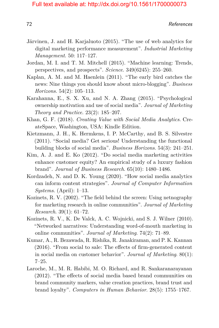- Järvinen, J. and H. Karjaluoto (2015). "The use of web analytics for digital marketing performance measurement". *Industrial Marketing Management*. 50: 117–127.
- Jordan, M. I. and T. M. Mitchell (2015). "Machine learning: Trends, perspectives, and prospects". *Science*. 349(6245): 255–260.
- Kaplan, A. M. and M. Haenlein (2011). "The early bird catches the news: Nine things you should know about micro-blogging". *Business Horizons*. 54(2): 105–113.
- Karahanna, E., S. X. Xu, and N. A. Zhang (2015). "Psychological ownership motivation and use of social media". *Journal of Marketing Theory and Practice*. 23(2): 185–207.
- Khan, G. F. (2018). *Creating Value with Social Media Analytics*. CreateSpace, Washington, USA: Kindle Edition.
- Kietzmann, J. H., K. Hermkens, I. P. McCarthy, and B. S. Silvestre (2011). "Social media? Get serious! Understanding the functional building blocks of social media". *Business Horizons*. 54(3): 241–251.
- Kim, A. J. and E. Ko (2012). "Do social media marketing activities enhance customer equity? An empirical study of a luxury fashion brand". *Journal of Business Research*. 65(10): 1480–1486.
- Kordzadeh, N. and D. K. Young (2020). "How social media analytics can inform content strategies". *Journal of Computer Information Systems*. (April): 1–13.
- Kozinets, R. V. (2002). "The field behind the screen: Using netnography for marketing research in online communities". *Journal of Marketing Research*. 39(1): 61–72.
- Kozinets, R. V., K. De Valck, A. C. Wojnicki, and S. J. Wilner (2010). "Networked narratives: Understanding word-of-mouth marketing in online communities". *Journal of Marketing*. 74(2): 71–89.
- Kumar, A., R. Bezawada, R. Rishika, R. Janakiraman, and P. K. Kannan (2016). "From social to sale: The effects of firm-generated content in social media on customer behavior". *Journal of Marketing*. 80(1): 7–25.
- Laroche, M., M. R. Habibi, M. O. Richard, and R. Sankaranarayanan (2012). "The effects of social media based brand communities on brand community markers, value creation practices, brand trust and brand loyalty". *Computers in Human Behavior*. 28(5): 1755–1767.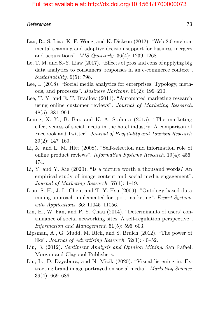- Lau, R., S. Liao, K. F. Wong, and K. Dickson (2012). "Web 2.0 environmental scanning and adaptive decision support for business mergers and acquisitions". *MIS Quarterly*. 36(4): 1239–1268.
- Le, T. M. and S.-Y. Liaw (2017). "Effects of pros and cons of applying big data analytics to consumers' responses in an e-commerce context". *Sustainability*. 9(5): 798.
- Lee, I. (2018). "Social media analytics for enterprises: Typology, methods, and processes". *Business Horizons*. 61(2): 199–210.
- Lee, T. Y. and E. T. Bradlow (2011). "Automated marketing research using online customer reviews". *Journal of Marketing Research*. 48(5): 881–994.
- Leung, X. Y., B. Bai, and K. A. Stahura (2015). "The marketing effectiveness of social media in the hotel industry: A comparison of Facebook and Twitter". *Journal of Hospitality and Tourism Research*. 39(2): 147–169.
- Li, X. and L. M. Hitt (2008). "Self-selection and information role of online product reviews". *Information Systems Research*. 19(4): 456– 474.
- Li, Y. and Y. Xie (2020). "Is a picture worth a thousand words? An empirical study of image content and social media engagement". *Journal of Marketing Research*. 57(1): 1–19.
- Liao, S.-H., J.-L. Chen, and T.-Y. Hsu (2009). "Ontology-based data mining approach implemented for sport marketing". *Expert Systems with Applications*. 36: 11045–11056.
- Lin, H., W. Fan, and P. Y. Chau (2014). "Determinants of users' continuance of social networking sites: A self-regulation perspective". *Information and Management*. 51(5): 595–603.
- Lipsman, A., G. Mudd, M. Rich, and S. Bruich (2012). "The power of like". *Journal of Advertising Research*. 52(1): 40–52.
- Liu, B. (2012). *Sentiment Analysis and Opinion Mining*. San Rafael: Morgan and Claypool Publishers.
- Liu, L., D. Dzyabura, and N. Mizik (2020). "Visual listening in: Extracting brand image portrayed on social media". *Marketing Science*. 39(4): 669–686.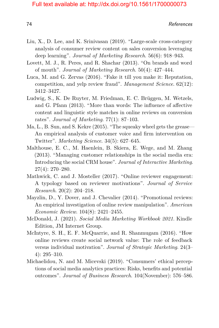- Liu, X., D. Lee, and K. Srinivasan (2019). "Large-scale cross-category analysis of consumer review content on sales conversion leveraging deep learning". *Journal of Marketing Research*. 56(6): 918–943.
- Lovett, M. J., R. Peres, and R. Shachar (2013). "On brands and word of mouth". *Journal of Marketing Research*. 50(4): 427–444.
- Luca, M. and G. Zervas (2016). "Fake it till you make it: Reputation, competition, and yelp review fraud". *Management Science*. 62(12): 3412–3427.
- Ludwig, S., K. De Ruyter, M. Friedman, E. C. Brüggen, M. Wetzels, and G. Pfann (2013). "More than words: The influence of affective content and linguistic style matches in online reviews on conversion rates". *Journal of Marketing*. 77(1): 87–103.
- Ma, L., B. Sun, and S. Kekre (2015). "The squeaky wheel gets the grease— An empirical analysis of customer voice and firm intervention on Twitter". *Marketing Science*. 34(5): 627–645.
- Malthouse, E. C., M. Haenlein, B. Skiera, E. Wege, and M. Zhang (2013). "Managing customer relationships in the social media era: Introducing the social CRM house". *Journal of Interactive Marketing*. 27(4): 270–280.
- Mathwick, C. and J. Mosteller (2017). "Online reviewer engagement: A typology based on reviewer motivations". *Journal of Service Research*. 20(2): 204–218.
- Mayzlin, D., Y. Dover, and J. Chevalier (2014). "Promotional reviews: An empirical investigation of online review manipulation". *American Economic Review*. 104(8): 2421–2455.
- McDonald, J. (2021). *Social Media Marketing Workbook 2021*. Kindle Edition, JM Internet Group.
- McIntyre, S. H., E. F. McQuarrie, and R. Shanmugam (2016). "How online reviews create social network value: The role of feedback versus individual motivation". *Journal of Strategic Marketing*. 24(3– 4): 295–310.
- Michaelidou, N. and M. Micevski (2019). "Consumers' ethical perceptions of social media analytics practices: Risks, benefits and potential outcomes". *Journal of Business Research*. 104(November): 576–586.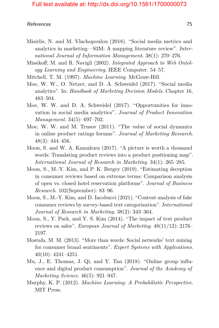- Misirlis, N. and M. Vlachopoulou (2018). "Social media metrics and analytics in marketing—S3M: A mapping literature review". *International Journal of Information Management*. 38(1): 270–276.
- Missikoff, M. and R. Navigli (2002). *Integrated Approach to Web Ontology Learning and Engineering*. IEEE Computer. 54–57.
- Mitchell, T. M. (1997). *Machine Learning*. McGraw-Hill.
- Moe, W. W., O. Netzer, and D. A. Schweidel (2017). "Social media analytics". In: *Handbook of Marketing Decision Models*. Chapter 16, 483–504.
- Moe, W. W. and D. A. Schweidel (2017). "Opportunities for innovation in social media analytics". *Journal of Product Innovation Management*. 34(5): 697–702.
- Moe, W. W. and M. Trusov (2011). "The value of social dynamics in online product ratings forums". *Journal of Marketing Research*. 48(3): 444–456.
- Moon, S. and W. A. Kamakura (2017). "A picture is worth a thousand words: Translating product reviews into a product positioning map". *International Journal of Research in Marketing*. 34(1): 265–285.
- Moon, S., M.-Y. Kim, and P. K. Bergey (2019). "Estimating deception in consumer reviews based on extreme terms: Comparison analysis of open vs. closed hotel reservation platforms". *Journal of Business Research*. 102(September): 83–96.
- Moon, S., M.-Y. Kim, and D. Iacobucci (2021). "Content analysis of fake consumer reviews by survey-based text categorization". *International Journal of Research in Marketing*. 38(2): 343–364.
- Moon, S., Y. Park, and Y. S. Kim (2014). "The impact of text product reviews on sales". *European Journal of Marketing*. 48(11/12): 2176– 2197.
- Mostafa, M. M. (2013). "More than words: Social networks' text mining for consumer brand sentiments". *Expert Systems with Applications*. 40(10): 4241–4251.
- Mu, J., E. Thomas, J. Qi, and Y. Tan (2018). "Online group influence and digital product consumption". *Journal of the Academy of Marketing Science*. 46(5): 921–947.
- Murphy, K. P. (2012). *Machine Learning: A Probabilistic Perspective*. MIT Press.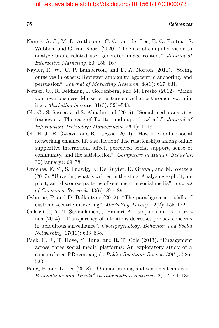- Nanne, A. J., M. L. Antheunis, C. G. van der Lee, E. O. Postma, S. Wubben, and G. van Noort (2020). "The use of computer vision to analyze brand-related user generated image content". *Journal of Interactive Marketing*. 50: 156–167.
- Naylor, R. W., C. P. Lamberton, and D. A. Norton (2011). "Seeing ourselves in others: Reviewer ambiguity, egocentric anchoring, and persuasion". *Journal of Marketing Research*. 48(3): 617–631.
- Netzer, O., R. Feldman, J. Goldenberg, and M. Fresko (2012). "Mine your own business: Market structure surveillance through text mining". *Marketing Science*. 31(3): 521–543.
- Oh, C., S. Sasser, and S. Almahmoud (2015). "Social media analytics framework: The case of Twitter and super bowl ads". *Journal of Information Technology Management*. 26(1): 1–18.
- Oh, H. J., E. Ozkaya, and R. LaRose (2014). "How does online social networking enhance life satisfaction? The relationships among online supportive interaction, affect, perceived social support, sense of community, and life satisfaction". *Computers in Human Behavior*. 30(January): 69–78.
- Ordenes, F. V., S. Ludwig, K. De Ruyter, D. Grewal, and M. Wetzels (2017). "Unveiling what is written in the stars: Analyzing explicit, implicit, and discourse patterns of sentiment in social media". *Journal of Consumer Research*. 43(6): 875–894.
- Osborne, P. and D. Ballantyne (2012). "The paradigmatic pitfalls of customer-centric marketing". *Marketing Theory*. 12(2): 155–172.
- Oulasvirta, A., T. Suomalainen, J. Hamari, A. Lampinen, and K. Karvonen (2014). "Transparency of intentions decreases privacy concerns in ubiquitous surveillance". *Cyberpsychology, Behavior, and Social Networking*. 17(10): 633–638.
- Paek, H. J., T. Hove, Y. Jung, and R. T. Cole (2013). "Engagement across three social media platforms: An exploratory study of a cause-related PR campaign". *Public Relations Review*. 39(5): 526– 533.
- Pang, B. and L. Lee (2008). "Opinion mining and sentiment analysis". *Foundations and Trends® in Information Retrieval*. 2(1–2): 1–135.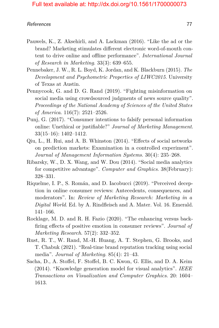- Pauwels, K., Z. Aksehirli, and A. Lackman (2016). "Like the ad or the brand? Marketing stimulates different electronic word-of-mouth content to drive online and offline performance". *International Journal of Research in Marketing*. 33(3): 639–655.
- Pennebaker, J. W., R. L. Boyd, K. Jordan, and K. Blackburn (2015). *The Development and Psychometric Properties of LIWC2015*. University of Texas at Austin.
- Pennycook, G. and D. G. Rand (2019). "Fighting misinformation on social media using crowdsourced judgments of news source quality". *Proceedings of the National Academy of Sciences of the United States of America*. 116(7): 2521–2526.
- Punj, G. (2017). "Consumer intentions to falsify personal information online: Unethical or justifiable?" *Journal of Marketing Management*. 33(15–16): 1402–1412.
- Qiu, L., H. Rui, and A. B. Whinston (2014). "Effects of social networks on prediction markets: Examination in a controlled experiment". *Journal of Management Information Systems*. 30(4): 235–268.
- Ribarsky, W., D. X. Wang, and W. Dou (2014). "Social media analytics for competitive advantage". *Computer and Graphics*. 38(February): 328–331.
- Riquelme, I. P., S. Román, and D. Iacobucci (2019). "Perceived deception in online consumer reviews: Antecedents, consequences, and moderators". In: *Review of Marketing Research: Marketing in a Digital World*. Ed. by A. Rindfleisch and A. Mater. Vol. 16. Emerald. 141–166.
- Rocklage, M. D. and R. H. Fazio (2020). "The enhancing versus backfiring effects of positive emotion in consumer reviews". *Journal of Marketing Research*. 57(2): 332–352.
- Rust, R. T., W. Rand, M.-H. Huang, A. T. Stephen, G. Brooks, and T. Chabuk (2021). "Real-time brand reputation tracking using social media". *Journal of Marketing*. 85(4): 21–43.
- Sacha, D., A. Stoffel, F. Stoffel, B. C. Kwon, G. Ellis, and D. A. Keim (2014). "Knowledge generation model for visual analytics". *IEEE Transactions on Visualization and Computer Graphics*. 20: 1604– 1613.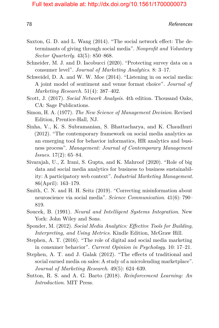- Saxton, G. D. and L. Wang (2014). "The social network effect: The determinants of giving through social media". *Nonprofit and Voluntary Sector Quarterly*. 43(5): 850–868.
- Schneider, M. J. and D. Iacobucci (2020). "Protecting survey data on a consumer level". *Journal of Marketing Analytics*. 8: 3–17.
- Schweidel, D. A. and W. W. Moe (2014). "Listening in on social media: A joint model of sentiment and venue format choice". *Journal of Marketing Research*. 51(4): 387–402.
- Scott, J. (2017). *Social Network Analysis*. 4th edition. Thousand Oaks, CA: Sage Publications.
- Simon, H. A. (1977). *The New Science of Management Decision*. Revised Edition, Prentice-Hall, NJ.
- Sinha, V., K. S. Subramanian, S. Bhattacharya, and K. Chaudhuri (2012). "The contemporary framework on social media analytics as an emerging tool for behavior informatics, HR analytics and business process". *Management: Journal of Contemporary Management Issues*. 17(2): 65–84.
- Sivarajah, U., Z. Irani, S. Gupta, and K. Mahroof (2020). "Role of big data and social media analytics for business to business sustainability: A participatory web context". *Industrial Marketing Management*. 86(April): 163–179.
- Smith, C. N. and H. H. Seitz (2019). "Correcting misinformation about neuroscience via social media". *Science Communication*. 41(6): 790– 819.
- Soucek, B. (1991). *Neural and Intelligent Systems Integration*. New York: John Wiley and Sons.
- Sponder, M. (2012). *Social Media Analytics: Effective Tools for Building, Interpreting, and Using Metrics*. Kindle Edition, McGraw Hill.
- Stephen, A. T. (2016). "The role of digital and social media marketing in consumer behavior". *Current Opinion in Psychology*. 10: 17–21.
- Stephen, A. T. and J. Galak (2012). "The effects of traditional and social earned media on sales: A study of a microlending marketplace". *Journal of Marketing Research*. 49(5): 624–639.
- Sutton, R. S. and A. G. Barto (2018). *Reinforcement Learning: An Introduction*. MIT Press.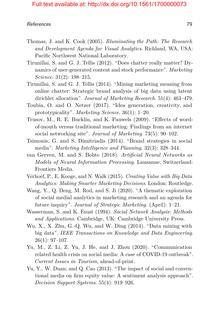- Thomas, J. and K. Cook (2005). *Illuminating the Path: The Research and Development Agenda for Visual Analytics*. Richland, WA, USA: Pacific Northwest National Laboratory.
- Tirunillai, S. and G. J. Tellis (2012). "Does chatter really matter? Dynamics of user-generated content and stock performance". *Marketing Science*. 31(2): 198–215.
- Tirunillai, S. and G. J. Tellis (2014). "Mining marketing meaning from online chatter: Strategic brand analysis of big data using latent dirichlet allocation". *Journal of Marketing Research*. 51(4): 463–479.
- Toubia, O. and O. Netzer (2017). "Idea generation, creativity, and prototypicality". *Marketing Science*. 36(1): 1–20.
- Trusov, M., R. E. Bucklin, and K. Pauwels (2009). "Effects of wordof-mouth versus traditional marketing: Findings from an internet social networking site". *Journal of Marketing*. 73(5): 90–102.
- Tsimonis, G. and S. Dimitriadis (2014). "Brand strategies in social media". *Marketing Intelligence and Planning*. 32(3): 328–344.
- van Gerven, M. and S. Bohte (2018). *Artificial Neural Networks as Models of Neural Information Processing*. Lausanne, Switzerland: Frontiers Media.
- Verhoef, P., E. Kooge, and N. Walk (2015). *Creating Value with Big Data Analytics: Making Smarter Marketing Decisions*. London: Routledge.
- Wang, Y., Q. Deng, M. Rod, and S. Ji (2020). "A thematic exploration of social medial analytics in marketing research and an agenda for future inquiry". *Journal of Strategic Marketing*. (April): 1–21.
- Wasserman, S. and K. Faust (1994). *Social Network Analysis: Methods and Applications*. Cambridge, UK: Cambridge University Press.
- Wu, X., X. Zhu, G.-Q. Wu, and W. Ding (2014). "Data mining with big data". *IEEE Transactions on Knowledge and Data Engineering*. 26(1): 97–107.
- <span id="page-29-0"></span>Yu, M., Z. Li, Z. Yu, J. He, and J. Zhou (2020). "Communication related health crisis on social media: A case of COVID-19 outbreak". *Current Issues in Tourism*, ahead-of-print.
- Yu, Y., W. Duan, and Q. Cao (2013). "The impact of social and conventional media on firm equity value: A sentiment analysis approach". *Decision Support Systems*. 55(4): 919–926.